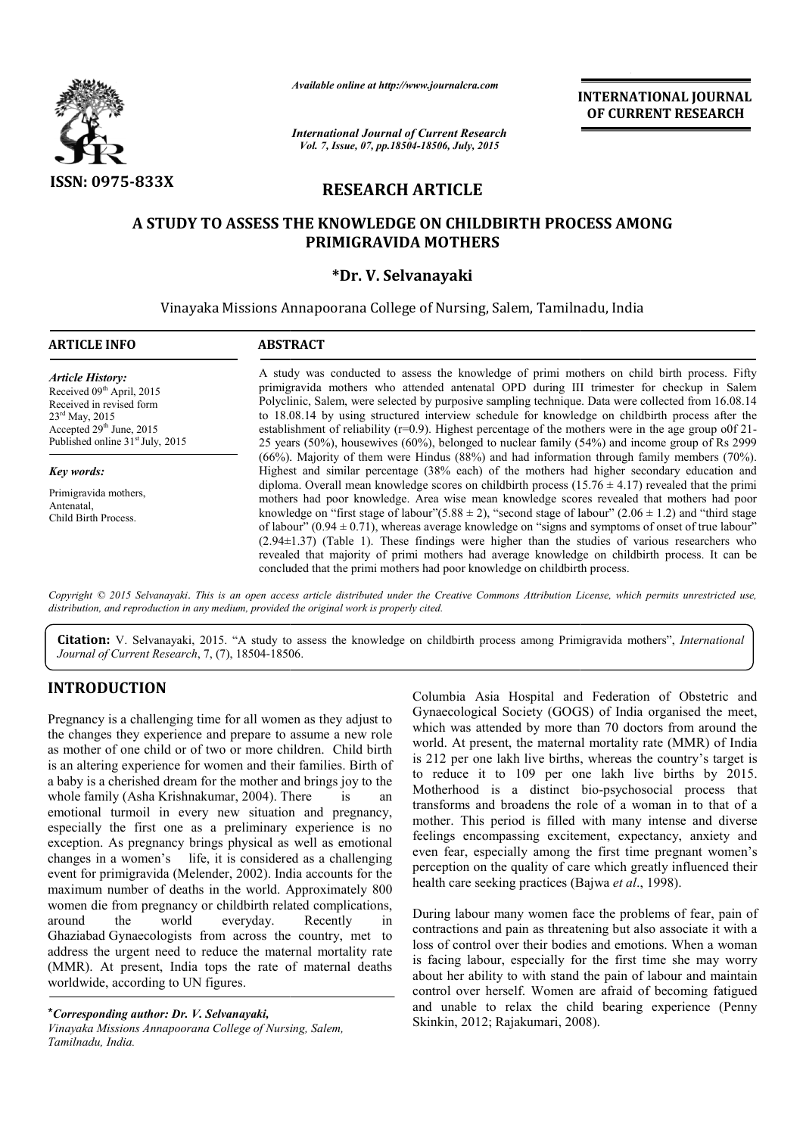

*Available online at http://www.journalcra.com*

*International Journal of Current Research Vol. 7, Issue, 07, pp.18504-18506, July, 2015*

**INTERNATIONAL INTERNATIONAL JOURNAL OF CURRENT RESEARCH** 

# **RESEARCH ARTICLE**

## **A STUDY TO ASSESS THE KNOWLEDGE ON CHILDBIRTH PROCESS AMONG PRIMIGRAVIDA MOTHERS**

## **\*Dr. V. Selvanayaki**

Vinayaka Missions Annapoorana College of Nursing, Salem, Tamilnadu, India College of

| <b>ARTICLE INFO</b>                                                                                                                                                                                      | <b>ABSTRACT</b>                                                                                                                                                                                                                                                                                                                                                                                                                                                                                                                                                                                                                                                                                                            |  |  |  |
|----------------------------------------------------------------------------------------------------------------------------------------------------------------------------------------------------------|----------------------------------------------------------------------------------------------------------------------------------------------------------------------------------------------------------------------------------------------------------------------------------------------------------------------------------------------------------------------------------------------------------------------------------------------------------------------------------------------------------------------------------------------------------------------------------------------------------------------------------------------------------------------------------------------------------------------------|--|--|--|
| <b>Article History:</b><br>Received 09 <sup>th</sup> April, 2015<br>Received in revised form<br>$23^{\text{rd}}$ May, 2015<br>Accepted $29th$ June, 2015<br>Published online 31 <sup>st</sup> July, 2015 | A study was conducted to assess the knowledge of primi mothers on child birth process. Fifty<br>primigravida mothers who attended antenatal OPD during III trimester for checkup in Salem<br>Polyclinic, Salem, were selected by purposive sampling technique. Data were collected from 16.08.14<br>to 18.08.14 by using structured interview schedule for knowledge on childbirth process after the<br>establishment of reliability ( $r=0.9$ ). Highest percentage of the mothers were in the age group of 21-<br>25 years (50%), housewives (60%), belonged to nuclear family (54%) and income group of Rs 2999<br>(66%). Majority of them were Hindus (88%) and had information through family members (70%).          |  |  |  |
| Key words:                                                                                                                                                                                               | Highest and similar percentage (38% each) of the mothers had higher secondary education and                                                                                                                                                                                                                                                                                                                                                                                                                                                                                                                                                                                                                                |  |  |  |
| Primigravida mothers.<br>Antenatal,<br>Child Birth Process.                                                                                                                                              | diploma. Overall mean knowledge scores on childbirth process (15.76 $\pm$ 4.17) revealed that the primi<br>mothers had poor knowledge. Area wise mean knowledge scores revealed that mothers had poor<br>knowledge on "first stage of labour"(5.88 $\pm$ 2), "second stage of labour" (2.06 $\pm$ 1.2) and "third stage<br>of labour" ( $0.94 \pm 0.71$ ), whereas average knowledge on "signs and symptoms of onset of true labour"<br>$(2.94\pm1.37)$ (Table 1). These findings were higher than the studies of various researchers who<br>revealed that majority of primi mothers had average knowledge on childbirth process. It can be<br>concluded that the primi mothers had poor knowledge on child birth process. |  |  |  |

Copyright © 2015 Selvanayaki. This is an open access article distributed under the Creative Commons Attribution License, which permits unrestricted use, *distribution, and reproduction in any medium, provided the original work is properly cited.*

Citation: V. Selvanayaki, 2015. "A study to assess the knowledge on childbirth process among Primigravida mothers", *International Journal of Current Research*, 7, (7), 18504-18506 18506.

## **INTRODUCTION**

Pregnancy is a challenging time for all women as they adjust to the changes they experience and prepare to assume a new role as mother of one child or of two or more children. Child birth is an altering experience for women and their families. Birth of a baby is a cherished dream for the mother and brings joy to the whole family (Asha Krishnakumar, 2004). There is an emotional turmoil in every new situation and pregnancy, especially the first one as a preliminary experience is no exception. As pregnancy brings physical as well as emotional changes in a women's life, it is considered as a challenging event for primigravida (Melender, 2002). India accounts for the maximum number of deaths in the world. Approximately 800 women die from pregnancy or childbirth related complications,<br>around the world everyday. Recently in everyday. Recently in Ghaziabad Gynaecologists from across the country, met to address the urgent need to reduce the maternal mortality rate (MMR). At present, India tops the rate of maternal deaths worldwide, according to UN figures. ation and pregnancy,<br>hary experience is no<br>l as well as emotional<br>dered as a challenging<br>. India accounts for the

\**Corresponding author: Dr. V. Selvanayaki, Vinayaka Missions Annapoorana College of Nursing, Salem, Tamilnadu, India.*

Example to the same of the same of the same of the meet, and the presenct and depenate to exsume a new to which was attended by more than 70 doctors from around the o or more childern. Child birth world. At present, the m Gynaecological Society (GOGS) of India organised the meet, which was attended by more than 70 doctors from around the world. At present, the maternal mortality rate (MMR) of India is 212 per one lakh live births, whereas the country's target is to reduce it to 109 per one lakh live births by 2015. Motherhood is a distinct bio-psychosocial process that transforms and broadens the role of a woman in to that of a mother. This period is filled with many intense and diverse feelings encompassing excitement, expectancy, anxiety and even fear, especially among the first time pregnant women's transforms and broadens the role of a woman in to that of a mother. This period is filled with many intense and diverse feelings encompassing excitement, expectancy, anxiety and even fear, especially among the first time p health care seeking practices (Bajwa *et al.*, 1998). cological Society (GOGS) of India organised the meet,<br>was attended by more than 70 doctors from around the<br>At present, the maternal mortality rate (MMR) of India<br>per one lakh live births, whereas the country's target is<br>uc

During labour many women face the problems of fear, pain of contractions and pain as threatening but also associate it with a loss of control over their bodies and emotions. When a woman is facing labour, especially for the first time she may worry about her ability to with stand the pain of labour and maintain control over herself. Women are afraid of becoming fatigued and unable to relax the child bearing experience (Penny Skinkin, 2012; Rajakumari, 2008) 2012; Rajakumari, 2008). ng labour many women face the problems of fear, pain of<br>ractions and pain as threatening but also associate it with a<br>of control over their bodies and emotions. When a woman Ing labour, especially for the first time she may worry<br>her ability to with stand the pain of labour and maintain<br>1 over herself. Women are afraid of becoming fatigued<br>mable to relax the child bearing experience (Penny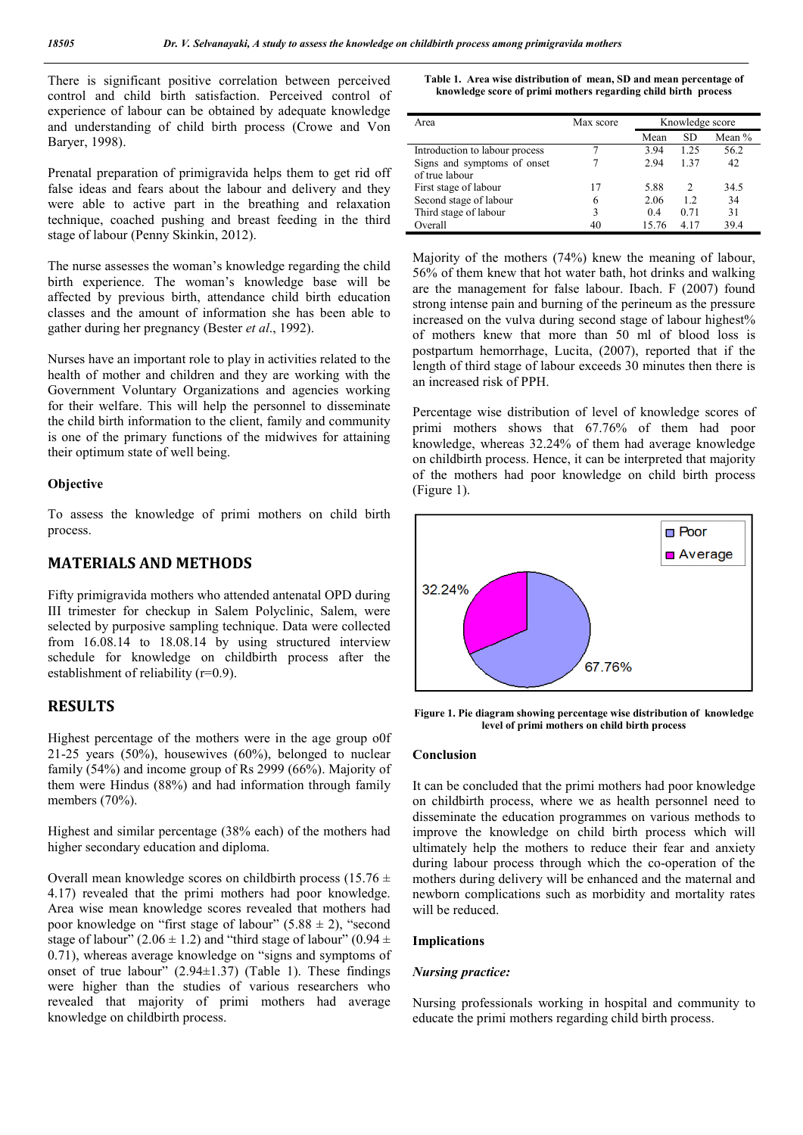There is significant positive correlation between perceived control and child birth satisfaction. Perceived control of experience of labour can be obtained by adequate knowledge and understanding of child birth process (Crowe and Von Baryer, 1998).

Prenatal preparation of primigravida helps them to get rid off false ideas and fears about the labour and delivery and they were able to active part in the breathing and relaxation technique, coached pushing and breast feeding in the third stage of labour (Penny Skinkin, 2012).

The nurse assesses the woman's knowledge regarding the child birth experience. The woman's knowledge base will be affected by previous birth, attendance child birth education classes and the amount of information she has been able to gather during her pregnancy (Bester *et al*., 1992).

Nurses have an important role to play in activities related to the health of mother and children and they are working with the Government Voluntary Organizations and agencies working for their welfare. This will help the personnel to disseminate the child birth information to the client, family and community is one of the primary functions of the midwives for attaining their optimum state of well being.

### **Objective**

To assess the knowledge of primi mothers on child birth process.

## **MATERIALS AND METHODS**

Fifty primigravida mothers who attended antenatal OPD during III trimester for checkup in Salem Polyclinic, Salem, were selected by purposive sampling technique. Data were collected from 16.08.14 to 18.08.14 by using structured interview schedule for knowledge on childbirth process after the establishment of reliability (r=0.9).

## **RESULTS**

Highest percentage of the mothers were in the age group o0f 21-25 years (50%), housewives (60%), belonged to nuclear family (54%) and income group of Rs 2999 (66%). Majority of them were Hindus (88%) and had information through family members (70%).

Highest and similar percentage (38% each) of the mothers had higher secondary education and diploma.

Overall mean knowledge scores on childbirth process (15.76  $\pm$ 4.17) revealed that the primi mothers had poor knowledge. Area wise mean knowledge scores revealed that mothers had poor knowledge on "first stage of labour"  $(5.88 \pm 2)$ , "second" stage of labour" (2.06  $\pm$  1.2) and "third stage of labour" (0.94  $\pm$ 0.71), whereas average knowledge on "signs and symptoms of onset of true labour"  $(2.94\pm1.37)$  (Table 1). These findings were higher than the studies of various researchers who revealed that majority of primi mothers had average knowledge on childbirth process.

**Table 1. Area wise distribution of mean, SD and mean percentage of knowledge score of primi mothers regarding child birth process**

| Area                           | Max score |       | Knowledge score    |          |  |
|--------------------------------|-----------|-------|--------------------|----------|--|
|                                |           | Mean  | <b>SD</b>          | Mean $%$ |  |
| Introduction to labour process |           | 3.94  | 1.25               | 56.2     |  |
| Signs and symptoms of onset    |           | 2.94  | 137                | 42       |  |
| of true labour                 |           |       |                    |          |  |
| First stage of labour          | 17        | 5.88  | $\mathfrak{D}_{1}$ | 34.5     |  |
| Second stage of labour         | 6         | 2.06  | 1.2                | 34       |  |
| Third stage of labour          | 3         | 0.4   | 0.71               | 31       |  |
| Overall                        | 40        | 15.76 | 4 17               | 39.4     |  |

Majority of the mothers (74%) knew the meaning of labour, 56% of them knew that hot water bath, hot drinks and walking are the management for false labour. Ibach. F (2007) found strong intense pain and burning of the perineum as the pressure increased on the vulva during second stage of labour highest% of mothers knew that more than 50 ml of blood loss is postpartum hemorrhage, Lucita, (2007), reported that if the length of third stage of labour exceeds 30 minutes then there is an increased risk of PPH.

Percentage wise distribution of level of knowledge scores of primi mothers shows that 67.76% of them had poor knowledge, whereas 32.24% of them had average knowledge on childbirth process. Hence, it can be interpreted that majority of the mothers had poor knowledge on child birth process (Figure 1).



**Figure 1. Pie diagram showing percentage wise distribution of knowledge level of primi mothers on child birth process**

#### **Conclusion**

It can be concluded that the primi mothers had poor knowledge on childbirth process, where we as health personnel need to disseminate the education programmes on various methods to improve the knowledge on child birth process which will ultimately help the mothers to reduce their fear and anxiety during labour process through which the co-operation of the mothers during delivery will be enhanced and the maternal and newborn complications such as morbidity and mortality rates will be reduced.

### **Implications**

### *Nursing practice:*

Nursing professionals working in hospital and community to educate the primi mothers regarding child birth process.